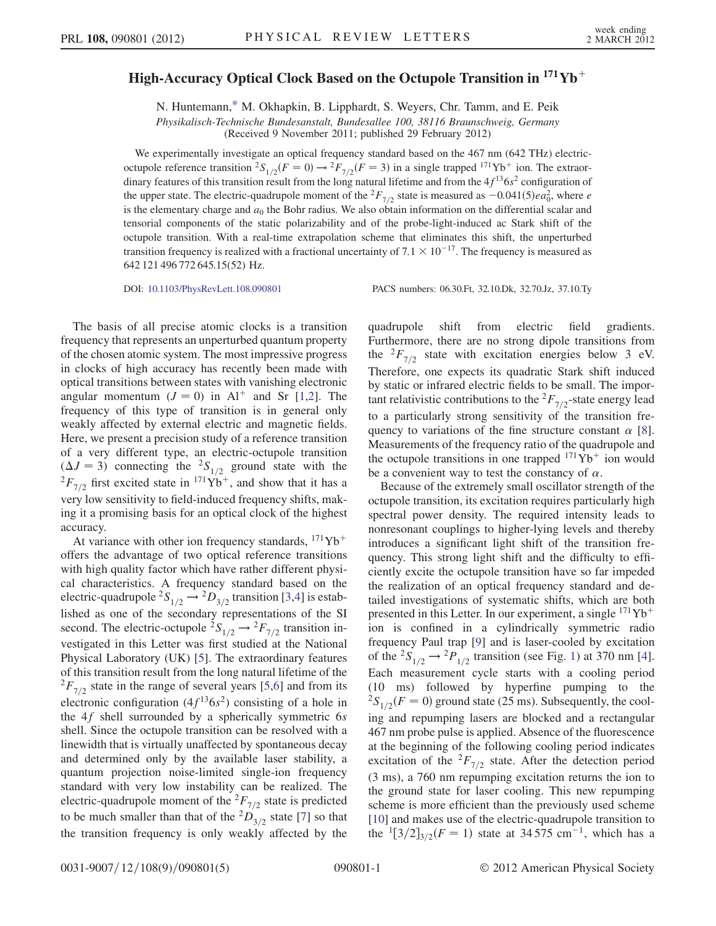## <span id="page-0-0"></span>High-Accuracy Optical Clock Based on the Octupole Transition in  $^{171}\mathrm{Yb}^+$

N. Huntemann[,\\*](#page-4-0) M. Okhapkin, B. Lipphardt, S. Weyers, Chr. Tamm, and E. Peik Physikalisch-Technische Bundesanstalt, Bundesallee 100, 38116 Braunschweig, Germany (Received 9 November 2011; published 29 February 2012)

We experimentally investigate an optical frequency standard based on the 467 nm (642 THz) electricoctupole reference transition  ${}^2S_{1/2}(F=0) \rightarrow {}^2F_{7/2}(F=3)$  in a single trapped  ${}^{171}\text{Yb}^+$  ion. The extraordinary features of this transition result from the long natural lifetime and from the  $4f^{13}6s^2$  configuration of the upper state. The electric-quadrupole moment of the  ${}^2F_{7/2}$  state is measured as  $-0.041(5)ea_0^2$ , where e is the elementary charge and  $a_0$  the Bohr radius. We also obtain information on the differential scalar and tensorial components of the static polarizability and of the probe-light-induced ac Stark shift of the octupole transition. With a real-time extrapolation scheme that eliminates this shift, the unperturbed transition frequency is realized with a fractional uncertainty of  $7.1 \times 10^{-17}$ . The frequency is measured as 642 121 496 772 645.15(52) Hz.

DOI: [10.1103/PhysRevLett.108.090801](http://dx.doi.org/10.1103/PhysRevLett.108.090801) PACS numbers: 06.30.Ft, 32.10.Dk, 32.70.Jz, 37.10.Ty

The basis of all precise atomic clocks is a transition frequency that represents an unperturbed quantum property of the chosen atomic system. The most impressive progress in clocks of high accuracy has recently been made with optical transitions between states with vanishing electronic angular momentum  $(J = 0)$  in Al<sup>+</sup> and Sr [[1](#page-4-1),[2\]](#page-4-2). The frequency of this type of transition is in general only weakly affected by external electric and magnetic fields. Here, we present a precision study of a reference transition of a very different type, an electric-octupole transition  $(\Delta J = 3)$  connecting the <sup>2</sup>S<sub>1/2</sub> ground state with the  ${}^{2}F_{7/2}$  first excited state in  ${}^{171}\widetilde{\text{Yb}}^{+}$ , and show that it has a very low sensitivity to field-induced frequency shifts, making it a promising basis for an optical clock of the highest accuracy.

At variance with other ion frequency standards,  $171\text{Yb}^+$ offers the advantage of two optical reference transitions with high quality factor which have rather different physical characteristics. A frequency standard based on the electric-quadrupole  ${}^2S_{1/2} \rightarrow {}^2D_{3/2}$  transition [\[3](#page-4-3),[4](#page-4-4)] is established as one of the secondary representations of the SI second. The electric-octupole  ${}^2S_{1/2} \rightarrow {}^2F_{7/2}$  transition investigated in this Letter was first studied at the National Physical Laboratory (UK) [[5\]](#page-4-5). The extraordinary features of this transition result from the long natural lifetime of the  ${}^{2}F_{7/2}$  state in the range of several years [\[5](#page-4-5),[6](#page-4-6)] and from its electronic configuration  $(4f^{13}6s^2)$  consisting of a hole in the  $4f$  shell surrounded by a spherically symmetric 6s shell. Since the octupole transition can be resolved with a linewidth that is virtually unaffected by spontaneous decay and determined only by the available laser stability, a quantum projection noise-limited single-ion frequency standard with very low instability can be realized. The electric-quadrupole moment of the  ${}^{2}F_{7/2}$  state is predicted to be much smaller than that of the  ${}^{2}D_{3/2}$  state [\[7](#page-4-7)] so that the transition frequency is only weakly affected by the

quadrupole shift from electric field gradients. Furthermore, there are no strong dipole transitions from the  ${}^{2}F_{7/2}$  state with excitation energies below 3 eV. Therefore, one expects its quadratic Stark shift induced by static or infrared electric fields to be small. The important relativistic contributions to the  ${}^2F_{7/2}$ -state energy lead to a particularly strong sensitivity of the transition frequency to variations of the fine structure constant  $\alpha$  [[8\]](#page-4-8). Measurements of the frequency ratio of the quadrupole and the octupole transitions in one trapped  $171\text{Yb}^+$  ion would be a convenient way to test the constancy of  $\alpha$ .

Because of the extremely small oscillator strength of the octupole transition, its excitation requires particularly high spectral power density. The required intensity leads to nonresonant couplings to higher-lying levels and thereby introduces a significant light shift of the transition frequency. This strong light shift and the difficulty to efficiently excite the octupole transition have so far impeded the realization of an optical frequency standard and detailed investigations of systematic shifts, which are both presented in this Letter. In our experiment, a single  $171\text{Yb}^+$ ion is confined in a cylindrically symmetric radio frequency Paul trap [[9\]](#page-4-9) and is laser-cooled by excitation of the  ${}^2S_{1/2} \rightarrow {}^2P_{1/2}$  transition (see Fig. [1\)](#page-1-0) at 370 nm [[4\]](#page-4-4). Each measurement cycle starts with a cooling period (10 ms) followed by hyperfine pumping to the  ${}^{2}S_{1/2}(F = 0)$  ground state (25 ms). Subsequently, the cooling and repumping lasers are blocked and a rectangular 467 nm probe pulse is applied. Absence of the fluorescence at the beginning of the following cooling period indicates excitation of the  ${}^{2}F_{7/2}$  state. After the detection period (3 ms), a 760 nm repumping excitation returns the ion to the ground state for laser cooling. This new repumping scheme is more efficient than the previously used scheme [\[10\]](#page-4-10) and makes use of the electric-quadrupole transition to the  ${}^{1}[3/2]_{3/2}(F = 1)$  state at 34 575 cm<sup>-1</sup>, which has a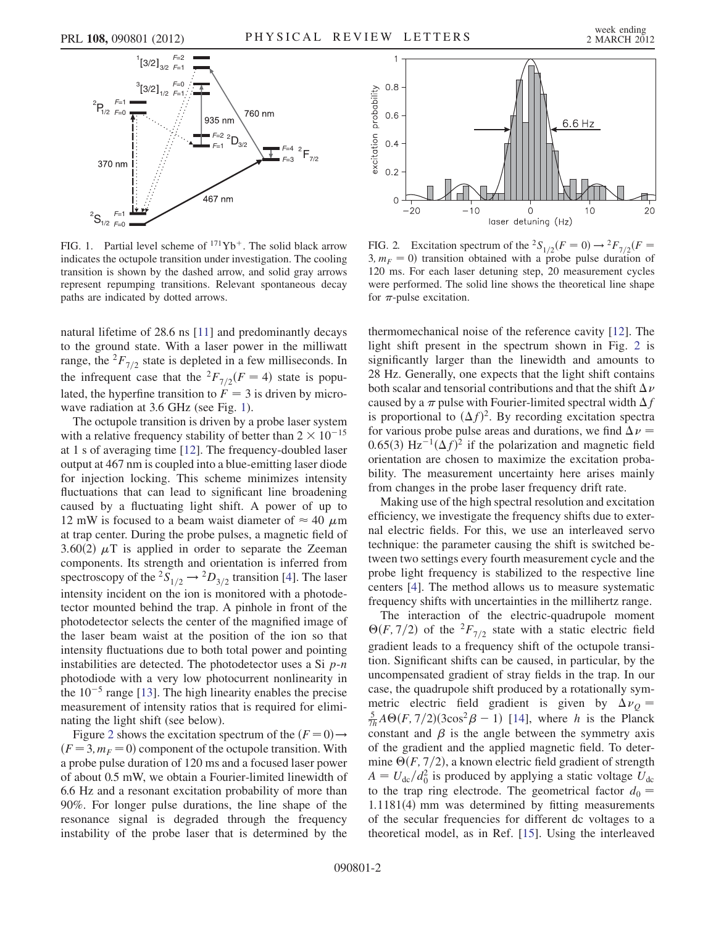<span id="page-1-0"></span>

FIG. 1. Partial level scheme of  $171\text{Yb}^+$ . The solid black arrow indicates the octupole transition under investigation. The cooling transition is shown by the dashed arrow, and solid gray arrows represent repumping transitions. Relevant spontaneous decay paths are indicated by dotted arrows.

natural lifetime of 28.6 ns [[11](#page-4-11)] and predominantly decays to the ground state. With a laser power in the milliwatt range, the  ${}^{2}F_{7/2}$  state is depleted in a few milliseconds. In the infrequent case that the  ${}^{2}F_{7/2}(F = 4)$  state is populated, the hyperfine transition to  $F = 3$  is driven by micro-wave radiation at 3.6 GHz (see Fig. [1\)](#page-1-0).

The octupole transition is driven by a probe laser system with a relative frequency stability of better than  $2 \times 10^{-15}$ at 1 s of averaging time [\[12\]](#page-4-12). The frequency-doubled laser output at 467 nm is coupled into a blue-emitting laser diode for injection locking. This scheme minimizes intensity fluctuations that can lead to significant line broadening caused by a fluctuating light shift. A power of up to 12 mW is focused to a beam waist diameter of  $\approx 40 \mu$ m at trap center. During the probe pulses, a magnetic field of 3.60 $(2)$   $\mu$ T is applied in order to separate the Zeeman components. Its strength and orientation is inferred from spectroscopy of the  ${}^2S_{1/2} \rightarrow {}^2D_{3/2}$  transition [[4\]](#page-4-4). The laser intensity incident on the ion is monitored with a photodetector mounted behind the trap. A pinhole in front of the photodetector selects the center of the magnified image of the laser beam waist at the position of the ion so that intensity fluctuations due to both total power and pointing instabilities are detected. The photodetector uses a Si  $p$ -n photodiode with a very low photocurrent nonlinearity in the  $10^{-5}$  range [\[13\]](#page-4-13). The high linearity enables the precise measurement of intensity ratios that is required for eliminating the light shift (see below).

Figure [2](#page-1-1) shows the excitation spectrum of the  $(F = 0) \rightarrow$  $(F = 3, m_F = 0)$  component of the octupole transition. With a probe pulse duration of 120 ms and a focused laser power of about 0.5 mW, we obtain a Fourier-limited linewidth of 6.6 Hz and a resonant excitation probability of more than 90%. For longer pulse durations, the line shape of the resonance signal is degraded through the frequency instability of the probe laser that is determined by the

<span id="page-1-1"></span>

FIG. 2. Excitation spectrum of the  ${}^2S_{1/2}(F=0) \rightarrow {}^2F_{7/2}(F=0)$ 3,  $m_F = 0$ ) transition obtained with a probe pulse duration of 120 ms. For each laser detuning step, 20 measurement cycles were performed. The solid line shows the theoretical line shape for  $\pi$ -pulse excitation.

thermomechanical noise of the reference cavity [[12](#page-4-12)]. The light shift present in the spectrum shown in Fig. [2](#page-1-1) is significantly larger than the linewidth and amounts to 28 Hz. Generally, one expects that the light shift contains both scalar and tensorial contributions and that the shift  $\Delta \nu$ caused by a  $\pi$  pulse with Fourier-limited spectral width  $\Delta f$ is proportional to  $(\Delta f)^2$ . By recording excitation spectra for various probe pulse areas and durations, we find  $\Delta v =$ 0.65(3)  $Hz^{-1}(\Delta f)^2$  if the polarization and magnetic field orientation are chosen to maximize the excitation probability. The measurement uncertainty here arises mainly from changes in the probe laser frequency drift rate.

Making use of the high spectral resolution and excitation efficiency, we investigate the frequency shifts due to external electric fields. For this, we use an interleaved servo technique: the parameter causing the shift is switched between two settings every fourth measurement cycle and the probe light frequency is stabilized to the respective line centers [[4\]](#page-4-4). The method allows us to measure systematic frequency shifts with uncertainties in the millihertz range.

The interaction of the electric-quadrupole moment  $\Theta(F, 7/2)$  of the  ${}^{2}F_{7/2}$  state with a static electric field gradient leads to a frequency shift of the octupole transition. Significant shifts can be caused, in particular, by the uncompensated gradient of stray fields in the trap. In our case, the quadrupole shift produced by a rotationally symmetric electric field gradient is given by  $\Delta v_Q =$  $\frac{5}{7h}A\Theta(F, 7/2)(3\cos^2\beta - 1)$  [[14\]](#page-4-14), where h is the Planck constant and  $\beta$  is the angle between the symmetry axis of the gradient and the applied magnetic field. To determine  $\Theta(F, 7/2)$ , a known electric field gradient of strength  $A = U_{\text{dc}}/d_0^2$  is produced by applying a static voltage  $U_{\text{dc}}$ to the trap ring electrode. The geometrical factor  $d_0 =$  $1.1181(4)$  mm was determined by fitting measurements of the secular frequencies for different dc voltages to a theoretical model, as in Ref. [[15](#page-4-15)]. Using the interleaved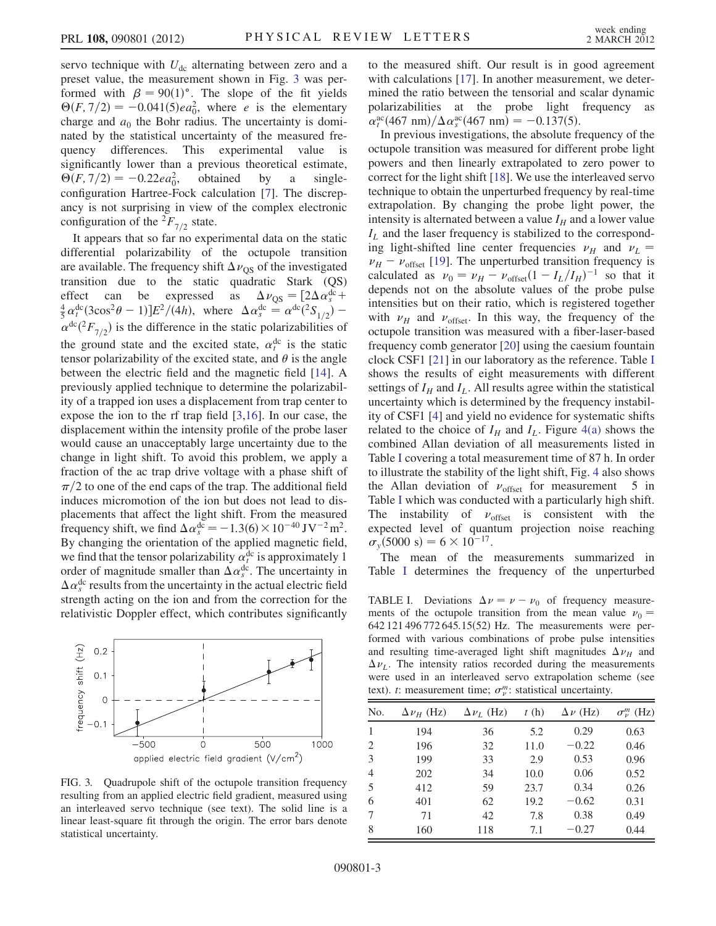servo technique with  $U_{dc}$  alternating between zero and a preset value, the measurement shown in Fig. [3](#page-2-0) was performed with  $\beta = 90(1)^\circ$ . The slope of the fit yields  $\Theta(F, 7/2) = -0.041(5)e^2a_0^2$ , where *e* is the elementary charge and  $a_0$  the Bohr radius. The uncertainty is dominated by the statistical uncertainty of the measured frequency differences. This experimental value is significantly lower than a previous theoretical estimate,  $\ddot{\Theta}(F, 7/2) = -0.22ea_0^2$ 0, obtained by a singleconfiguration Hartree-Fock calculation [[7\]](#page-4-7). The discrepancy is not surprising in view of the complex electronic configuration of the  ${}^2F_{7/2}$  state.

It appears that so far no experimental data on the static differential polarizability of the octupole transition are available. The frequency shift  $\Delta v_{OS}$  of the investigated transition due to the static quadratic Stark (QS) effect can be expressed as  $\Delta \nu_{\text{QS}} = [2\Delta \alpha_s^{\text{dc}} +$  $\frac{4}{5}\alpha_t^{\text{dc}}(3\cos^2\theta-1)]E^2/(4h)$ , where  $\Delta \alpha_s^{\text{dc}} = \alpha^{\text{dc}}(2S_{1/2})$  –  $\alpha^{dc}({}^2F_{7/2})$  is the difference in the static polarizabilities of the ground state and the excited state,  $\alpha_t^{\text{dc}}$  is the static tensor polarizability of the excited state, and  $\theta$  is the angle between the electric field and the magnetic field [\[14\]](#page-4-14). A previously applied technique to determine the polarizability of a trapped ion uses a displacement from trap center to expose the ion to the rf trap field [\[3](#page-4-3),[16](#page-4-16)]. In our case, the displacement within the intensity profile of the probe laser would cause an unacceptably large uncertainty due to the change in light shift. To avoid this problem, we apply a fraction of the ac trap drive voltage with a phase shift of  $\pi/2$  to one of the end caps of the trap. The additional field induces micromotion of the ion but does not lead to displacements that affect the light shift. From the measured frequency shift, we find  $\Delta \alpha_s^{\text{dc}} = -1.3(6) \times 10^{-40} \text{ J} \text{V}^{-2} \text{m}^2$ . By changing the orientation of the applied magnetic field, we find that the tensor polarizability  $\alpha_t^{\text{dc}}$  is approximately 1 order of magnitude smaller than  $\Delta \alpha_s^{\dot{dc}}$ . The uncertainty in  $\Delta \alpha_s^{\rm dc}$  results from the uncertainty in the actual electric field strength acting on the ion and from the correction for the relativistic Doppler effect, which contributes significantly

<span id="page-2-0"></span>

FIG. 3. Quadrupole shift of the octupole transition frequency resulting from an applied electric field gradient, measured using an interleaved servo technique (see text). The solid line is a linear least-square fit through the origin. The error bars denote statistical uncertainty.

to the measured shift. Our result is in good agreement with calculations [\[17\]](#page-4-17). In another measurement, we determined the ratio between the tensorial and scalar dynamic polarizabilities at the probe light frequency as  $\alpha_t^{\text{ac}}(467 \text{ nm})/\Delta \alpha_s^{\text{ac}}(467 \text{ nm}) = -0.137(5).$ 

In previous investigations, the absolute frequency of the octupole transition was measured for different probe light powers and then linearly extrapolated to zero power to correct for the light shift [\[18\]](#page-4-18). We use the interleaved servo technique to obtain the unperturbed frequency by real-time extrapolation. By changing the probe light power, the intensity is alternated between a value  $I_H$  and a lower value  $I_L$  and the laser frequency is stabilized to the corresponding light-shifted line center frequencies  $\nu_H$  and  $\nu_L$  =  $\nu_H - \nu_{\text{offset}}$  [[19](#page-4-19)]. The unperturbed transition frequency is calculated as  $v_0 = v_H - v_{\text{offset}} (1 - I_L/I_H)^{-1}$  so that it depends not on the absolute values of the probe pulse intensities but on their ratio, which is registered together with  $\nu_H$  and  $\nu_{\text{offset}}$ . In this way, the frequency of the octupole transition was measured with a fiber-laser-based frequency comb generator [[20](#page-4-20)] using the caesium fountain clock CSF1 [\[21\]](#page-4-21) in our laboratory as the reference. Table [I](#page-2-1) shows the results of eight measurements with different settings of  $I_H$  and  $I_L$ . All results agree within the statistical uncertainty which is determined by the frequency instability of CSF1 [[4](#page-4-4)] and yield no evidence for systematic shifts related to the choice of  $I_H$  and  $I_L$ . Figure [4\(a\)](#page-3-0) shows the combined Allan deviation of all measurements listed in Table [I](#page-2-1) covering a total measurement time of 87 h. In order to illustrate the stability of the light shift, Fig. [4](#page-3-1) also shows the Allan deviation of  $\nu_{offset}$  for measurement 5 in Table [I](#page-2-1) which was conducted with a particularly high shift. The instability of  $v_{\text{offset}}$  is consistent with the expected level of quantum projection noise reaching  $\sigma_y(5000 \text{ s}) = 6 \times 10^{-17}.$ 

The mean of the measurements summarized in Table [I](#page-2-1) determines the frequency of the unperturbed

<span id="page-2-1"></span>TABLE I. Deviations  $\Delta \nu = \nu - \nu_0$  of frequency measurements of the octupole transition from the mean value  $v_0$  = 642 121 496 772 645.15(52) Hz. The measurements were performed with various combinations of probe pulse intensities and resulting time-averaged light shift magnitudes  $\Delta \nu_H$  and  $\Delta v_L$ . The intensity ratios recorded during the measurements were used in an interleaved servo extrapolation scheme (see text). t: measurement time;  $\sigma_v^m$ : statistical uncertainty.

| No. | $\Delta \nu_H$ (Hz) | $\Delta \nu_L$ (Hz) | t(h) | $\Delta \nu$ (Hz) | $\sigma_v^m$ (Hz) |
|-----|---------------------|---------------------|------|-------------------|-------------------|
| 1   | 194                 | 36                  | 5.2  | 0.29              | 0.63              |
| 2   | 196                 | 32                  | 11.0 | $-0.22$           | 0.46              |
| 3   | 199                 | 33                  | 2.9  | 0.53              | 0.96              |
| 4   | 202                 | 34                  | 10.0 | 0.06              | 0.52              |
| 5   | 412                 | 59                  | 23.7 | 0.34              | 0.26              |
| 6   | 401                 | 62                  | 19.2 | $-0.62$           | 0.31              |
| 7   | 71                  | 42                  | 7.8  | 0.38              | 0.49              |
| 8   | 160                 | 118                 | 7.1  | $-0.27$           | 0.44              |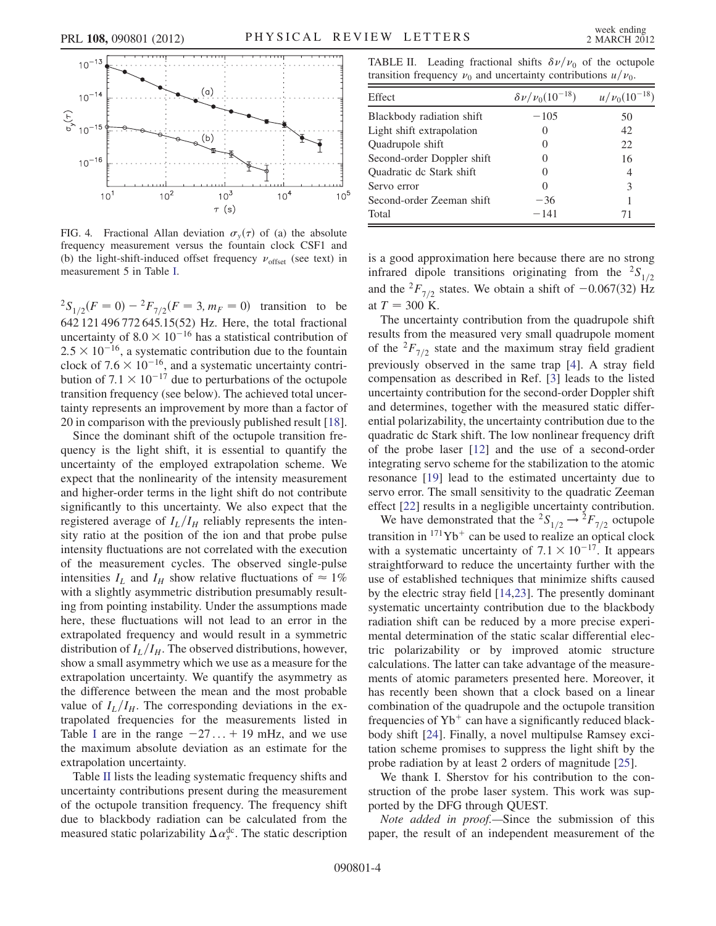<span id="page-3-1"></span>

<span id="page-3-0"></span>FIG. 4. Fractional Allan deviation  $\sigma_{v}(\tau)$  of (a) the absolute frequency measurement versus the fountain clock CSF1 and (b) the light-shift-induced offset frequency  $\nu_{\text{offset}}$  (see text) in measurement 5 in Table [I](#page-2-1).

 ${}^{2}S_{1/2}(F = 0) - {}^{2}F_{7/2}(F = 3, m_F = 0)$  transition to be 642 121 496 772 645.15(52) Hz. Here, the total fractional uncertainty of  $8.0 \times 10^{-16}$  has a statistical contribution of  $2.5 \times 10^{-16}$ , a systematic contribution due to the fountain clock of 7.6  $\times$  10<sup>-16</sup>, and a systematic uncertainty contribution of  $7.1 \times 10^{-17}$  due to perturbations of the octupole transition frequency (see below). The achieved total uncertainty represents an improvement by more than a factor of 20 in comparison with the previously published result [[18\]](#page-4-18).

Since the dominant shift of the octupole transition frequency is the light shift, it is essential to quantify the uncertainty of the employed extrapolation scheme. We expect that the nonlinearity of the intensity measurement and higher-order terms in the light shift do not contribute significantly to this uncertainty. We also expect that the registered average of  $I_L/I_H$  reliably represents the intensity ratio at the position of the ion and that probe pulse intensity fluctuations are not correlated with the execution of the measurement cycles. The observed single-pulse intensities  $I_L$  and  $I_H$  show relative fluctuations of  $\approx 1\%$ with a slightly asymmetric distribution presumably resulting from pointing instability. Under the assumptions made here, these fluctuations will not lead to an error in the extrapolated frequency and would result in a symmetric distribution of  $I_L/I_H$ . The observed distributions, however, show a small asymmetry which we use as a measure for the extrapolation uncertainty. We quantify the asymmetry as the difference between the mean and the most probable value of  $I_L/I_H$ . The corresponding deviations in the extrapolated frequencies for the measurements listed in Table [I](#page-2-1) are in the range  $-27... + 19$  mHz, and we use the maximum absolute deviation as an estimate for the extrapolation uncertainty.

Table [II](#page-3-2) lists the leading systematic frequency shifts and uncertainty contributions present during the measurement of the octupole transition frequency. The frequency shift due to blackbody radiation can be calculated from the measured static polarizability  $\Delta \alpha_s^{\text{dc}}$ . The static description

<span id="page-3-2"></span>TABLE II. Leading fractional shifts  $\delta \nu / \nu_0$  of the octupole transition frequency  $\nu_0$  and uncertainty contributions  $u/v_0$ .

| Effect                     | $\delta \nu / \nu_0 (10^{-18})$ | $u/\nu_0(10^{-18})$ |
|----------------------------|---------------------------------|---------------------|
| Blackbody radiation shift  | $-105$                          | 50                  |
| Light shift extrapolation  | $\theta$                        | 42                  |
| Quadrupole shift           | $\left( \right)$                | 22.                 |
| Second-order Doppler shift | $\mathbf{\Omega}$               | 16                  |
| Quadratic de Stark shift   | $\left( \right)$                | 4                   |
| Servo error                | $\mathbf{\Omega}$               | 3                   |
| Second-order Zeeman shift  | $-36$                           |                     |
| Total                      | $-141$                          | 71                  |

is a good approximation here because there are no strong infrared dipole transitions originating from the  ${}^{2}S_{1/2}$ and the  ${}^{2}F_{7/2}$  states. We obtain a shift of  $-0.067(32)$  Hz at  $T = 300$  K.

The uncertainty contribution from the quadrupole shift results from the measured very small quadrupole moment of the  ${}^{2}F_{7/2}$  state and the maximum stray field gradient previously observed in the same trap [[4](#page-4-4)]. A stray field compensation as described in Ref. [[3\]](#page-4-3) leads to the listed uncertainty contribution for the second-order Doppler shift and determines, together with the measured static differential polarizability, the uncertainty contribution due to the quadratic dc Stark shift. The low nonlinear frequency drift of the probe laser [[12](#page-4-12)] and the use of a second-order integrating servo scheme for the stabilization to the atomic resonance [[19](#page-4-19)] lead to the estimated uncertainty due to servo error. The small sensitivity to the quadratic Zeeman effect [\[22\]](#page-4-22) results in a negligible uncertainty contribution.

We have demonstrated that the  ${}^2S_{1/2} \rightarrow {}^2F_{7/2}$  octupole transition in  $171\text{Yb}^+$  can be used to realize an optical clock with a systematic uncertainty of  $7.1 \times 10^{-17}$ . It appears straightforward to reduce the uncertainty further with the use of established techniques that minimize shifts caused by the electric stray field [[14](#page-4-14)[,23](#page-4-23)]. The presently dominant systematic uncertainty contribution due to the blackbody radiation shift can be reduced by a more precise experimental determination of the static scalar differential electric polarizability or by improved atomic structure calculations. The latter can take advantage of the measurements of atomic parameters presented here. Moreover, it has recently been shown that a clock based on a linear combination of the quadrupole and the octupole transition frequencies of  $Yb^+$  can have a significantly reduced blackbody shift [[24](#page-4-24)]. Finally, a novel multipulse Ramsey excitation scheme promises to suppress the light shift by the probe radiation by at least 2 orders of magnitude [[25](#page-4-25)].

We thank I. Sherstov for his contribution to the construction of the probe laser system. This work was supported by the DFG through QUEST.

Note added in proof.—Since the submission of this paper, the result of an independent measurement of the